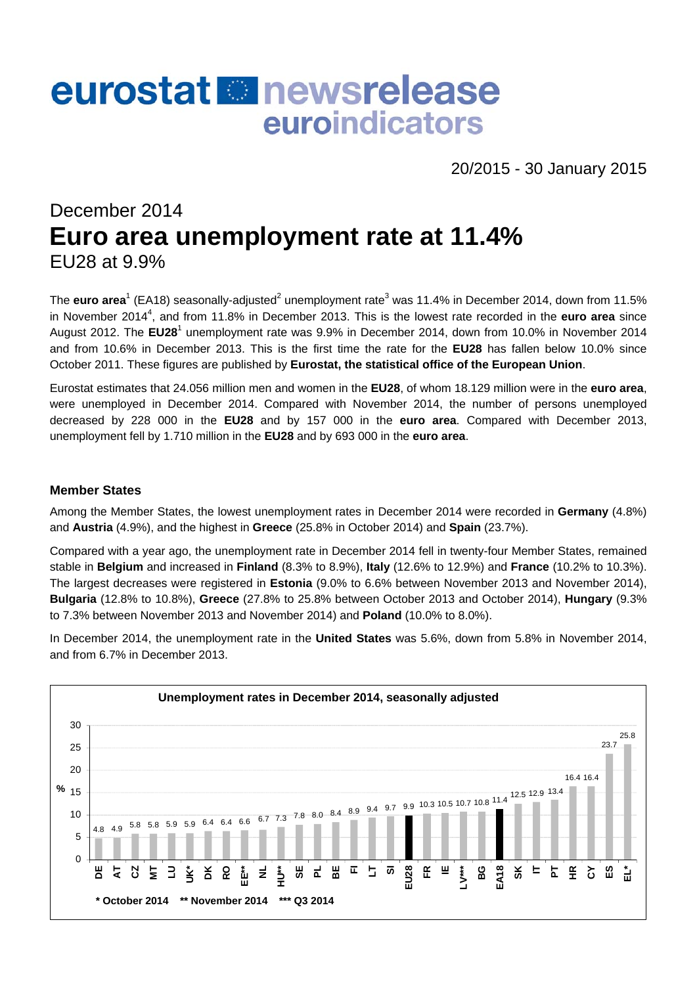# eurostat **Re** newsrelease euroindicators

20/2015 - 30 January 2015

# December 2014 **Euro area unemployment rate at 11.4%**  EU28 at 9.9%

The **euro area**<sup>1</sup> (EA18) seasonally-adjusted<sup>2</sup> unemployment rate<sup>3</sup> was 11.4% in December 2014, down from 11.5% in November 2014<sup>4</sup>, and from 11.8% in December 2013. This is the lowest rate recorded in the **euro area** since August 2012. The EU28<sup>1</sup> unemployment rate was 9.9% in December 2014, down from 10.0% in November 2014 and from 10.6% in December 2013. This is the first time the rate for the **EU28** has fallen below 10.0% since October 2011. These figures are published by **Eurostat, the statistical office of the European Union**.

Eurostat estimates that 24.056 million men and women in the **EU28**, of whom 18.129 million were in the **euro area**, were unemployed in December 2014. Compared with November 2014, the number of persons unemployed decreased by 228 000 in the **EU28** and by 157 000 in the **euro area**. Compared with December 2013, unemployment fell by 1.710 million in the **EU28** and by 693 000 in the **euro area**.

#### **Member States**

Among the Member States, the lowest unemployment rates in December 2014 were recorded in **Germany** (4.8%) and **Austria** (4.9%), and the highest in **Greece** (25.8% in October 2014) and **Spain** (23.7%).

Compared with a year ago, the unemployment rate in December 2014 fell in twenty-four Member States, remained stable in **Belgium** and increased in **Finland** (8.3% to 8.9%), **Italy** (12.6% to 12.9%) and **France** (10.2% to 10.3%). The largest decreases were registered in **Estonia** (9.0% to 6.6% between November 2013 and November 2014), **Bulgaria** (12.8% to 10.8%), **Greece** (27.8% to 25.8% between October 2013 and October 2014), **Hungary** (9.3% to 7.3% between November 2013 and November 2014) and **Poland** (10.0% to 8.0%).

In December 2014, the unemployment rate in the **United States** was 5.6%, down from 5.8% in November 2014, and from 6.7% in December 2013.

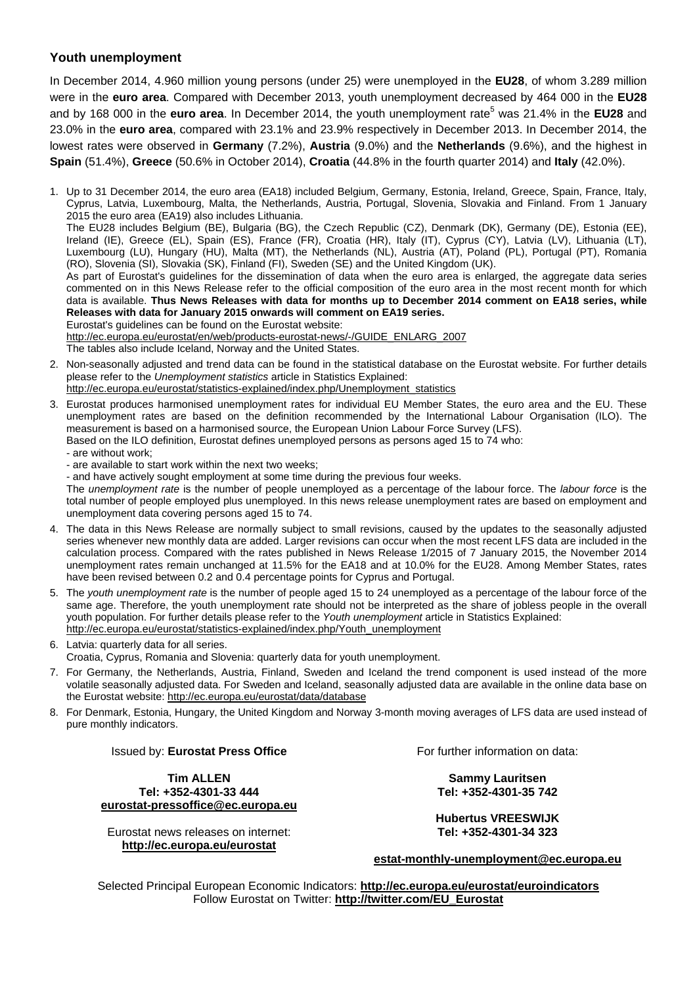### **Youth unemployment**

In December 2014, 4.960 million young persons (under 25) were unemployed in the **EU28**, of whom 3.289 million were in the **euro area**. Compared with December 2013, youth unemployment decreased by 464 000 in the **EU28** and by 168 000 in the **euro area**. In December 2014, the youth unemployment rate<sup>5</sup> was 21.4% in the **EU28** and 23.0% in the **euro area**, compared with 23.1% and 23.9% respectively in December 2013. In December 2014, the lowest rates were observed in **Germany** (7.2%), **Austria** (9.0%) and the **Netherlands** (9.6%), and the highest in **Spain** (51.4%), **Greece** (50.6% in October 2014), **Croatia** (44.8% in the fourth quarter 2014) and **Italy** (42.0%).

1. Up to 31 December 2014, the euro area (EA18) included Belgium, Germany, Estonia, Ireland, Greece, Spain, France, Italy, Cyprus, Latvia, Luxembourg, Malta, the Netherlands, Austria, Portugal, Slovenia, Slovakia and Finland. From 1 January 2015 the euro area (EA19) also includes Lithuania. The EU28 includes Belgium (BE), Bulgaria (BG), the Czech Republic (CZ), Denmark (DK), Germany (DE), Estonia (EE), Ireland (IE), Greece (EL), Spain (ES), France (FR), Croatia (HR), Italy (IT), Cyprus (CY), Latvia (LV), Lithuania (LT), Luxembourg (LU), Hungary (HU), Malta (MT), the Netherlands (NL), Austria (AT), Poland (PL), Portugal (PT), Romania (RO), Slovenia (SI), Slovakia (SK), Finland (FI), Sweden (SE) and the United Kingdom (UK). As part of Eurostat's guidelines for the dissemination of data when the euro area is enlarged, the aggregate data series commented on in this News Release refer to the official composition of the euro area in the most recent month for which data is available. **Thus News Releases with data for months up to December 2014 comment on EA18 series, while Releases with data for January 2015 onwards will comment on EA19 series.** Eurostat's guidelines can be found on the Eurostat website: [http://ec.europa.eu/eurostat/en/web/products-eurostat-news/-/GUIDE\\_ENLARG\\_2007](http://ec.europa.eu/eurostat/en/web/products-eurostat-news/-/GUIDE_ENLARG_2007)

The tables also include Iceland, Norway and the United States.

- 2. Non-seasonally adjusted and trend data can be found in the statistical database on the Eurostat website. For further details please refer to the *Unemployment statistics* article in Statistics Explained: [http://ec.europa.eu/eurostat/statistics-explained/index.php/Unemployment\\_statistics](http://ec.europa.eu/eurostat/statistics-explained/index.php/Unemployment_statistics)
- 3. Eurostat produces harmonised unemployment rates for individual EU Member States, the euro area and the EU. These unemployment rates are based on the definition recommended by the International Labour Organisation (ILO). The measurement is based on a harmonised source, the European Union Labour Force Survey (LFS). Based on the ILO definition, Eurostat defines unemployed persons as persons aged 15 to 74 who:
	- are without work;
	- are available to start work within the next two weeks;
	- and have actively sought employment at some time during the previous four weeks.

The *unemployment rate* is the number of people unemployed as a percentage of the labour force. The *labour force* is the total number of people employed plus unemployed. In this news release unemployment rates are based on employment and unemployment data covering persons aged 15 to 74.

- 4. The data in this News Release are normally subject to small revisions, caused by the updates to the seasonally adjusted series whenever new monthly data are added. Larger revisions can occur when the most recent LFS data are included in the calculation process. Compared with the rates published in News Release 1/2015 of 7 January 2015, the November 2014 unemployment rates remain unchanged at 11.5% for the EA18 and at 10.0% for the EU28. Among Member States, rates have been revised between 0.2 and 0.4 percentage points for Cyprus and Portugal.
- 5. The *youth unemployment rate* is the number of people aged 15 to 24 unemployed as a percentage of the labour force of the same age. Therefore, the youth unemployment rate should not be interpreted as the share of jobless people in the overall youth population. For further details please refer to the *Youth unemployment* article in Statistics Explained: [http://ec.europa.eu/eurostat/statistics-explained/index.php/Youth\\_unemployment](http://ec.europa.eu/eurostat/statistics-explained/index.php/Youth_unemployment)
- 6. Latvia: quarterly data for all series.
	- Croatia, Cyprus, Romania and Slovenia: quarterly data for youth unemployment.
- 7. For Germany, the Netherlands, Austria, Finland, Sweden and Iceland the trend component is used instead of the more volatile seasonally adjusted data. For Sweden and Iceland, seasonally adjusted data are available in the online data base on the Eurostat website:<http://ec.europa.eu/eurostat/data/database>
- 8. For Denmark, Estonia, Hungary, the United Kingdom and Norway 3-month moving averages of LFS data are used instead of pure monthly indicators.

#### Issued by: **Eurostat Press Office**

**Tim ALLEN Tel: +352-4301-33 444 [eurostat-pressoffice@ec.europa.eu](mailto:eurostat-pressoffice@ec.europa.eu)** 

Eurostat news releases on internet: **<http://ec.europa.eu/eurostat>**

For further information on data:

**Sammy Lauritsen Tel: +352-4301-35 742** 

**Hubertus VREESWIJK Tel: +352-4301-34 323** 

**[estat-monthly-unemployment@ec.europa.eu](mailto:ESTAT-monthly-unemployment@ec.europa.eu)** 

Selected Principal European Economic Indicators: **<http://ec.europa.eu/eurostat/euroindicators>** Follow Eurostat on Twitter: **[http://twitter.com/EU\\_Eurostat](http://twitter.com/EU_Eurostat)**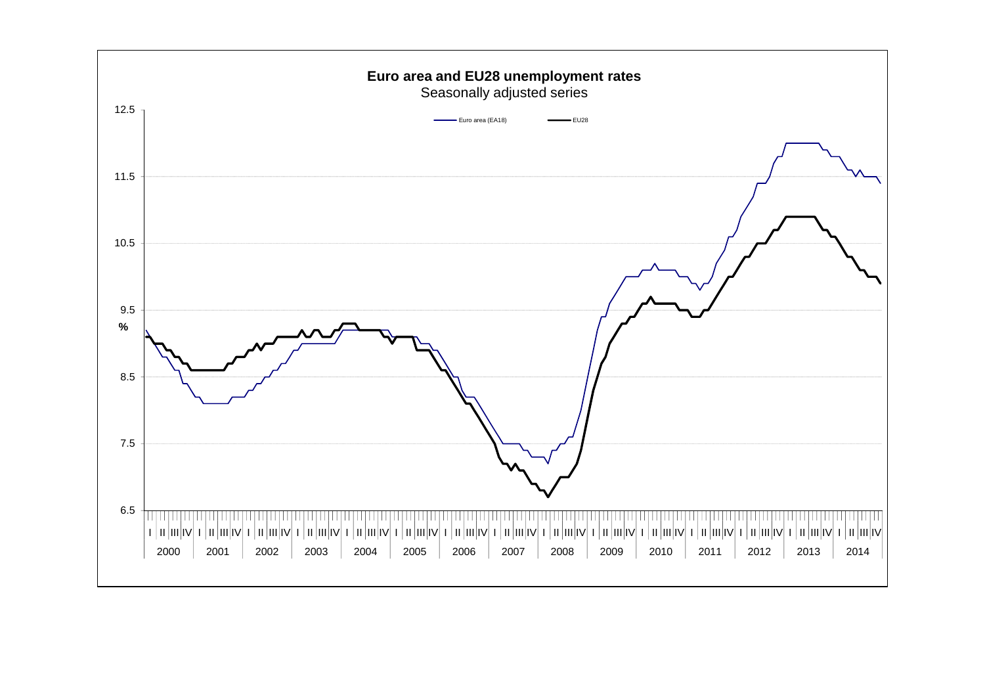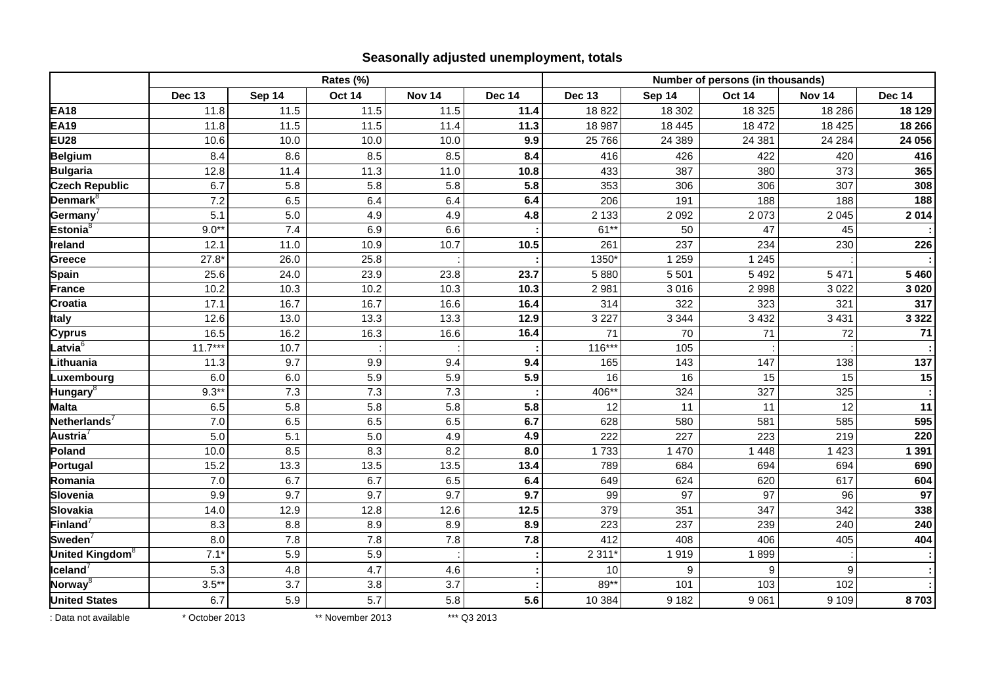## **Seasonally adjusted unemployment, totals**

|                             | Rates (%)      |         |                  |                   |               | Number of persons (in thousands) |         |               |               |               |  |
|-----------------------------|----------------|---------|------------------|-------------------|---------------|----------------------------------|---------|---------------|---------------|---------------|--|
|                             | <b>Dec 13</b>  | Sep 14  | <b>Oct 14</b>    | Nov <sub>14</sub> | <b>Dec 14</b> | <b>Dec 13</b>                    | Sep 14  | <b>Oct 14</b> | <b>Nov 14</b> | <b>Dec 14</b> |  |
| <b>EA18</b>                 | 11.8           | 11.5    | 11.5             | 11.5              | 11.4          | 18822                            | 18 302  | 18 3 25       | 18 2 8 6      | 18 129        |  |
| <b>EA19</b>                 | 11.8           | 11.5    | 11.5             | 11.4              | 11.3          | 18 987                           | 18 4 45 | 18 472        | 18 4 25       | 18 26 6       |  |
| <b>EU28</b>                 | 10.6           | 10.0    | 10.0             | 10.0              | 9.9           | 25 766                           | 24 389  | 24 381        | 24 284        | 24 056        |  |
| <b>Belgium</b>              | 8.4            | 8.6     | 8.5              | 8.5               | 8.4           | 416                              | 426     | 422           | 420           | 416           |  |
| <b>Bulgaria</b>             | 12.8           | 11.4    | 11.3             | 11.0              | 10.8          | 433                              | 387     | 380           | 373           | 365           |  |
| <b>Czech Republic</b>       | 6.7            | 5.8     | 5.8              | 5.8               | 5.8           | 353                              | 306     | 306           | 307           | 308           |  |
| Denmark <sup>8</sup>        | 7.2            | 6.5     | 6.4              | 6.4               | 6.4           | 206                              | 191     | 188           | 188           | 188           |  |
| Germany <sup>7</sup>        | 5.1            | 5.0     | 4.9              | 4.9               | 4.8           | 2 1 3 3                          | 2 0 9 2 | 2 0 7 3       | 2 0 4 5       | 2 0 1 4       |  |
| Estonia <sup>8</sup>        | $9.0**$        | 7.4     | 6.9              | 6.6               |               | $61**$                           | 50      | 47            | 45            |               |  |
| Ireland                     | 12.1           | 11.0    | 10.9             | 10.7              | 10.5          | 261                              | 237     | 234           | 230           | 226           |  |
| <b>Greece</b>               | 27.8'          | 26.0    | 25.8             |                   |               | 1350*                            | 1 2 5 9 | 1 2 4 5       |               |               |  |
| <b>Spain</b>                | 25.6           | 24.0    | 23.9             | 23.8              | 23.7          | 5880                             | 5 5 0 1 | 5 4 9 2       | 5 4 7 1       | 5 4 6 0       |  |
| <b>France</b>               | 10.2           | 10.3    | 10.2             | 10.3              | 10.3          | 2 9 8 1                          | 3016    | 2 9 9 8       | 3 0 2 2       | 3 0 2 0       |  |
| Croatia                     | 17.1           | 16.7    | 16.7             | 16.6              | 16.4          | 314                              | 322     | 323           | 321           | 317           |  |
| <b>Italy</b>                | 12.6           | 13.0    | 13.3             | 13.3              | 12.9          | 3 2 2 7                          | 3 3 4 4 | 3 4 3 2       | 3 4 3 1       | 3 3 2 2       |  |
| <b>Cyprus</b>               | 16.5           | 16.2    | 16.3             | 16.6              | 16.4          | 71                               | 70      | 71            | 72            | 71            |  |
| Latvia $^6$                 | $11.7***$      | 10.7    |                  |                   |               | $116***$                         | 105     |               |               |               |  |
| Lithuania                   | 11.3           | 9.7     | 9.9              | 9.4               | 9.4           | 165                              | 143     | 147           | 138           | 137           |  |
| Luxembourg                  | 6.0            | $6.0\,$ | 5.9              | 5.9               | 5.9           | 16                               | 16      | 15            | 15            | 15            |  |
| Hungary <sup>8</sup>        | $9.3**$        | 7.3     | 7.3              | 7.3               |               | 406**                            | 324     | 327           | 325           |               |  |
| <b>Malta</b>                | 6.5            | 5.8     | 5.8              | 5.8               | 5.8           | 12                               | 11      | 11            | 12            | 11            |  |
| Netherlands <sup>7</sup>    | 7.0            | 6.5     | 6.5              | 6.5               | 6.7           | 628                              | 580     | 581           | 585           | 595           |  |
| Austria $\overline{'}$      | 5.0            | 5.1     | 5.0              | 4.9               | 4.9           | 222                              | 227     | 223           | 219           | 220           |  |
| Poland                      | 10.0           | 8.5     | 8.3              | 8.2               | 8.0           | 1733                             | 1 4 7 0 | 1 4 4 8       | 1 4 2 3       | 1 3 9 1       |  |
| Portugal                    | 15.2           | 13.3    | 13.5             | 13.5              | 13.4          | 789                              | 684     | 694           | 694           | 690           |  |
| Romania                     | 7.0            | 6.7     | 6.7              | 6.5               | 6.4           | 649                              | 624     | 620           | 617           | 604           |  |
| Slovenia                    | 9.9            | 9.7     | 9.7              | 9.7               | 9.7           | 99                               | 97      | 97            | 96            | 97            |  |
| <b>Slovakia</b>             | 14.0           | 12.9    | 12.8             | 12.6              | 12.5          | 379                              | 351     | 347           | 342           | 338           |  |
| Finland <sup>7</sup>        | 8.3            | 8.8     | 8.9              | 8.9               | 8.9           | 223                              | 237     | 239           | 240           | 240           |  |
| Sweden $\sqrt{ }$           | 8.0            | 7.8     | 7.8              | 7.8               | 7.8           | 412                              | 408     | 406           | 405           | 404           |  |
| United Kingdom <sup>8</sup> | $7.1*$         | 5.9     | 5.9              |                   |               | 2 3 1 1                          | 1919    | 1899          |               |               |  |
| $I$ celand $^7$             | 5.3            | 4.8     | 4.7              | 4.6               |               | 10                               | 9       | 9             | 9             |               |  |
| Norway <sup>8</sup>         | $3.5**$        | 3.7     | 3.8              | 3.7               |               | 89**                             | 101     | 103           | 102           |               |  |
| <b>United States</b>        | 6.7            | 5.9     | 5.7              | 5.8               | 5.6           | 10 384                           | 9 1 8 2 | 9 0 6 1       | 9 1 0 9       | 8703          |  |
| : Data not available        | * October 2013 |         | ** November 2013 |                   | *** Q3 2013   |                                  |         |               |               |               |  |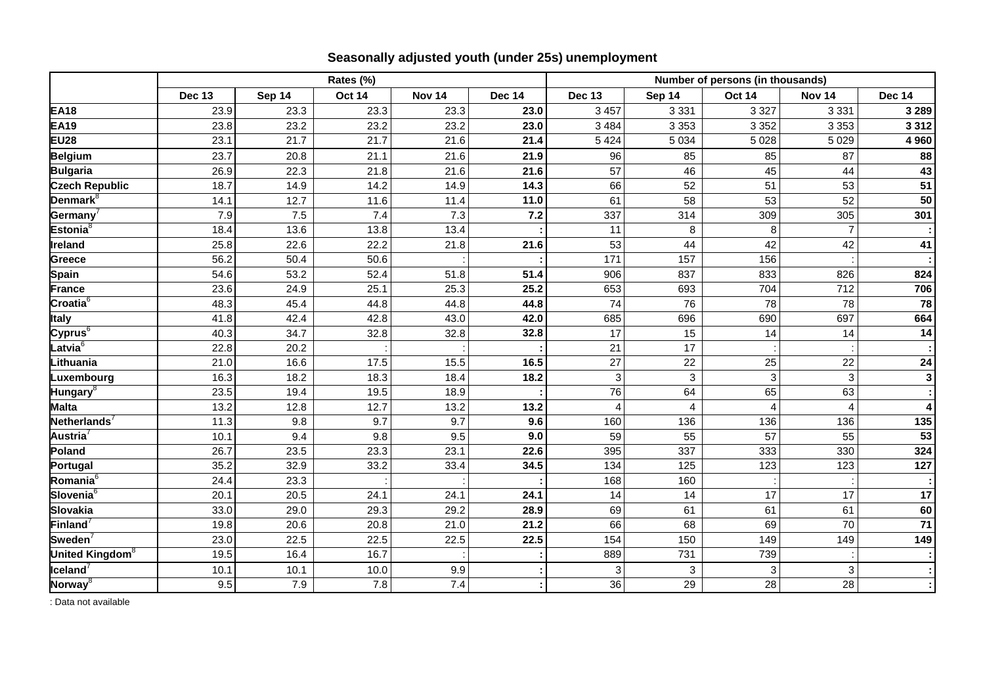# **Seasonally adjusted youth (under 25s) unemployment**

|                             | Rates (%)     |        |               |               |               | Number of persons (in thousands) |         |               |                           |                         |  |
|-----------------------------|---------------|--------|---------------|---------------|---------------|----------------------------------|---------|---------------|---------------------------|-------------------------|--|
|                             | <b>Dec 13</b> | Sep 14 | <b>Oct 14</b> | <b>Nov 14</b> | <b>Dec 14</b> | <b>Dec 13</b>                    | Sep 14  | <b>Oct 14</b> | <b>Nov 14</b>             | <b>Dec 14</b>           |  |
| <b>EA18</b>                 | 23.9          | 23.3   | 23.3          | 23.3          | 23.0          | 3 4 5 7                          | 3 3 3 1 | 3 3 2 7       | 3 3 3 1                   | 3 2 8 9                 |  |
| <b>EA19</b>                 | 23.8          | 23.2   | 23.2          | 23.2          | 23.0          | 3 4 8 4                          | 3 3 5 3 | 3 3 5 2       | 3 3 5 3                   | 3 3 1 2                 |  |
| <b>EU28</b>                 | 23.1          | 21.7   | 21.7          | 21.6          | 21.4          | 5 4 2 4                          | 5 0 34  | 5 0 28        | 5 0 2 9                   | 4 9 6 0                 |  |
| <b>Belgium</b>              | 23.7          | 20.8   | 21.1          | 21.6          | 21.9          | 96                               | 85      | 85            | 87                        | 88                      |  |
| <b>Bulgaria</b>             | 26.9          | 22.3   | 21.8          | 21.6          | 21.6          | 57                               | 46      | 45            | 44                        | 43                      |  |
| <b>Czech Republic</b>       | 18.7          | 14.9   | 14.2          | 14.9          | 14.3          | 66                               | 52      | 51            | 53                        | 51                      |  |
| Denmark <sup>8</sup>        | 14.1          | 12.7   | 11.6          | 11.4          | 11.0          | 61                               | 58      | 53            | 52                        | 50                      |  |
| Germany                     | 7.9           | 7.5    | 7.4           | 7.3           | 7.2           | 337                              | 314     | 309           | 305                       | 301                     |  |
| Estonia $8$                 | 18.4          | 13.6   | 13.8          | 13.4          |               | 11                               | 8       | 8             | $\overline{7}$            |                         |  |
| Ireland                     | 25.8          | 22.6   | 22.2          | 21.8          | 21.6          | 53                               | 44      | 42            | 42                        | 41                      |  |
| <b>Greece</b>               | 56.2          | 50.4   | 50.6          |               |               | 171                              | 157     | 156           |                           |                         |  |
| <b>Spain</b>                | 54.6          | 53.2   | 52.4          | 51.8          | 51.4          | 906                              | 837     | 833           | 826                       | 824                     |  |
| <b>France</b>               | 23.6          | 24.9   | 25.1          | 25.3          | 25.2          | 653                              | 693     | 704           | 712                       | 706                     |  |
| Croatia $^6$                | 48.3          | 45.4   | 44.8          | 44.8          | 44.8          | 74                               | 76      | 78            | 78                        | 78                      |  |
| <b>Italy</b>                | 41.8          | 42.4   | 42.8          | 43.0          | 42.0          | 685                              | 696     | 690           | 697                       | 664                     |  |
| Cyprus $^6$                 | 40.3          | 34.7   | 32.8          | 32.8          | 32.8          | 17                               | 15      | 14            | 14                        | 14                      |  |
| Latvia <sup>6</sup>         | 22.8          | 20.2   |               |               |               | 21                               | 17      |               |                           |                         |  |
| Lithuania                   | 21.0          | 16.6   | 17.5          | 15.5          | 16.5          | 27                               | 22      | 25            | 22                        | 24                      |  |
| Luxembourg                  | 16.3          | 18.2   | 18.3          | 18.4          | 18.2          | 3                                | 3       | 3             | 3                         | $\overline{\mathbf{3}}$ |  |
| Hungary <sup>8</sup>        | 23.5          | 19.4   | 19.5          | 18.9          |               | 76                               | 64      | 65            | 63                        |                         |  |
| <b>Malta</b>                | 13.2          | 12.8   | 12.7          | 13.2          | 13.2          | 4                                | 4       | 4             | 4                         | 4                       |  |
| Netherlands <sup>7</sup>    | 11.3          | 9.8    | 9.7           | 9.7           | 9.6           | 160                              | 136     | 136           | 136                       | 135                     |  |
| Austria $^7$                | 10.1          | 9.4    | 9.8           | 9.5           | 9.0           | 59                               | 55      | 57            | 55                        | 53                      |  |
| Poland                      | 26.7          | 23.5   | 23.3          | 23.1          | 22.6          | 395                              | 337     | 333           | 330                       | 324                     |  |
| Portugal                    | 35.2          | 32.9   | 33.2          | 33.4          | 34.5          | 134                              | 125     | 123           | 123                       | 127                     |  |
| Romania <sup>6</sup>        | 24.4          | 23.3   |               |               |               | 168                              | 160     |               |                           |                         |  |
| Slovenia $\overline{6}$     | 20.1          | 20.5   | 24.1          | 24.1          | 24.1          | 14                               | 14      | 17            | 17                        | 17                      |  |
| Slovakia                    | 33.0          | 29.0   | 29.3          | 29.2          | 28.9          | 69                               | 61      | 61            | 61                        | 60                      |  |
| Finland $^7$                | 19.8          | 20.6   | 20.8          | 21.0          | 21.2          | 66                               | 68      | 69            | 70                        | $\overline{71}$         |  |
| Sweden <sup>1</sup>         | 23.0          | 22.5   | 22.5          | 22.5          | 22.5          | 154                              | 150     | 149           | 149                       | 149                     |  |
| United Kingdom <sup>8</sup> | 19.5          | 16.4   | 16.7          |               |               | 889                              | 731     | 739           |                           | $\sim$                  |  |
| $I$ celand $^7$             | 10.1          | 10.1   | 10.0          | 9.9           |               | 3                                | 3       | 3             | $\ensuremath{\mathsf{3}}$ |                         |  |
| Norway ${}^8$               | 9.5           | 7.9    | 7.8           | 7.4           |               | 36                               | 29      | 28            | 28                        | $\mathcal{I}$           |  |

: Data not available